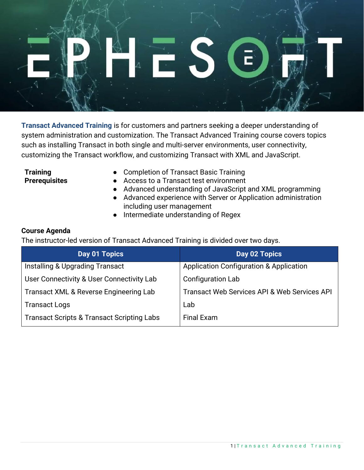

**Transact Advanced Training** is for customers and partners seeking a deeper understanding of system administration and customization. The Transact Advanced Training course covers topics such as installing Transact in both single and multi-server environments, user connectivity, customizing the Transact workflow, and customizing Transact with XML and JavaScript.

**Training Prerequisites**

- Completion of Transact Basic Training
- Access to a Transact test environment
- Advanced understanding of JavaScript and XML programming
- Advanced experience with Server or Application administration including user management
- Intermediate understanding of Regex

## **Course Agenda**

The instructor-led version of Transact Advanced Training is divided over two days.

| Day 01 Topics                                         | Day 02 Topics                                      |
|-------------------------------------------------------|----------------------------------------------------|
| Installing & Upgrading Transact                       | <b>Application Configuration &amp; Application</b> |
| User Connectivity & User Connectivity Lab             | <b>Configuration Lab</b>                           |
| <b>Transact XML &amp; Reverse Engineering Lab</b>     | Transact Web Services API & Web Services API       |
| <b>Transact Logs</b>                                  | Lab                                                |
| <b>Transact Scripts &amp; Transact Scripting Labs</b> | <b>Final Exam</b>                                  |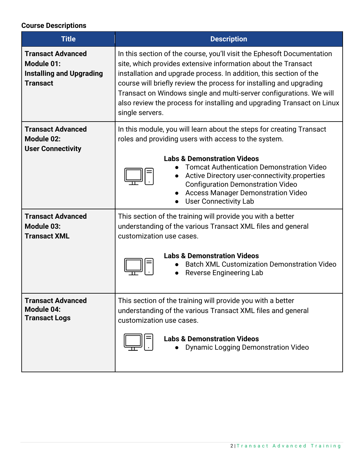## **Course Descriptions**

| <b>Title</b>                                                                                        | <b>Description</b>                                                                                                                                                                                                                                                                                                                                                                                                                                       |
|-----------------------------------------------------------------------------------------------------|----------------------------------------------------------------------------------------------------------------------------------------------------------------------------------------------------------------------------------------------------------------------------------------------------------------------------------------------------------------------------------------------------------------------------------------------------------|
| <b>Transact Advanced</b><br><b>Module 01:</b><br><b>Installing and Upgrading</b><br><b>Transact</b> | In this section of the course, you'll visit the Ephesoft Documentation<br>site, which provides extensive information about the Transact<br>installation and upgrade process. In addition, this section of the<br>course will briefly review the process for installing and upgrading<br>Transact on Windows single and multi-server configurations. We will<br>also review the process for installing and upgrading Transact on Linux<br>single servers. |
| <b>Transact Advanced</b><br><b>Module 02:</b><br><b>User Connectivity</b>                           | In this module, you will learn about the steps for creating Transact<br>roles and providing users with access to the system.<br><b>Labs &amp; Demonstration Videos</b><br><b>Tomcat Authentication Demonstration Video</b><br>Active Directory user-connectivity.properties<br><b>Configuration Demonstration Video</b><br><b>Access Manager Demonstration Video</b><br><b>User Connectivity Lab</b>                                                     |
| <b>Transact Advanced</b><br><b>Module 03:</b><br><b>Transact XML</b>                                | This section of the training will provide you with a better<br>understanding of the various Transact XML files and general<br>customization use cases.<br><b>Labs &amp; Demonstration Videos</b><br><b>Batch XML Customization Demonstration Video</b><br>Reverse Engineering Lab                                                                                                                                                                        |
| <b>Transact Advanced</b><br><b>Module 04:</b><br><b>Transact Logs</b>                               | This section of the training will provide you with a better<br>understanding of the various Transact XML files and general<br>customization use cases.<br><b>Labs &amp; Demonstration Videos</b><br><b>Dynamic Logging Demonstration Video</b>                                                                                                                                                                                                           |